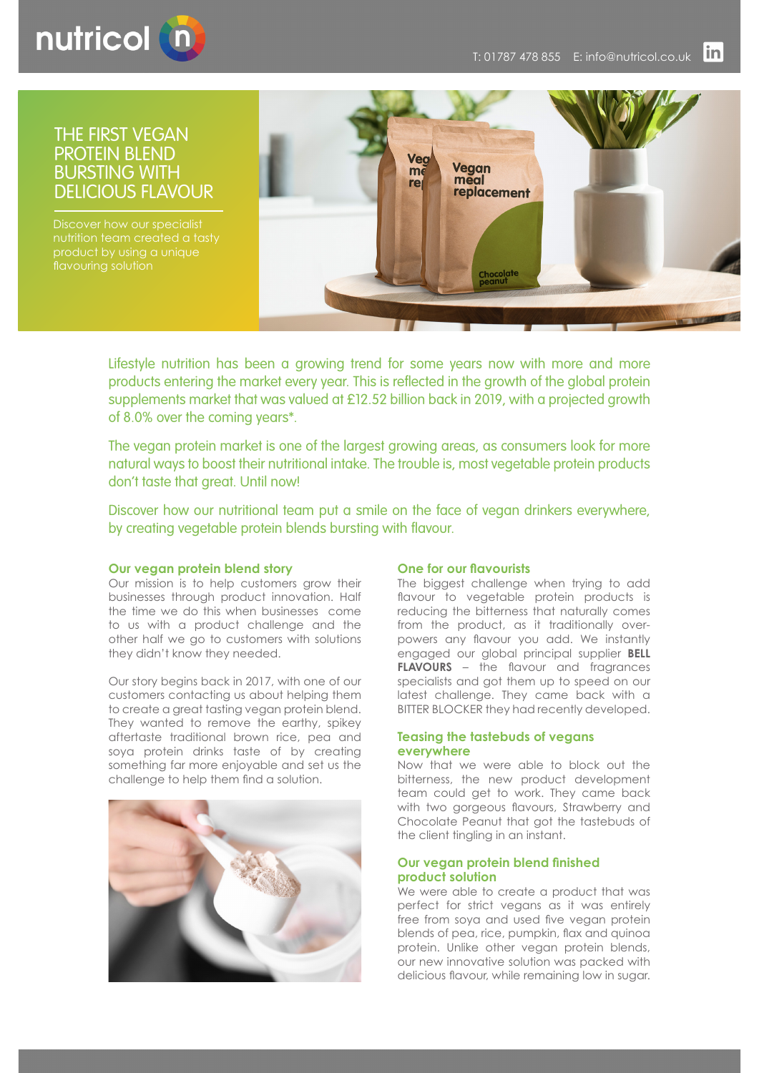

# THE FIRST VEGAN PROTEIN BLEND BURSTING WITH DELICIOUS FLAVOUR

Discover how our specialist



Lifestyle nutrition has been a growing trend for some years now with more and more products entering the market every year. This is reflected in the growth of the global protein supplements market that was valued at £12.52 billion back in 2019, with a projected growth of 8.0% over the coming years\*.

The vegan protein market is one of the largest growing areas, as consumers look for more natural ways to boost their nutritional intake. The trouble is, most vegetable protein products don't taste that great. Until now!

Discover how our nutritional team put a smile on the face of vegan drinkers everywhere, by creating vegetable protein blends bursting with flavour.

### **Our vegan protein blend story**

Our mission is to help customers grow their businesses through product innovation. Half the time we do this when businesses come to us with a product challenge and the other half we go to customers with solutions they didn't know they needed.

Our story begins back in 2017, with one of our customers contacting us about helping them to create a great tasting vegan protein blend. They wanted to remove the earthy, spikey aftertaste traditional brown rice, pea and soya protein drinks taste of by creating something far more enjoyable and set us the challenge to help them find a solution.



### **One for our flavourists**

The biggest challenge when trying to add flavour to vegetable protein products is reducing the bitterness that naturally comes from the product, as it traditionally overpowers any flavour you add. We instantly engaged our global principal supplier **BELL FLAVOURS** – the flavour and fragrances specialists and got them up to speed on our latest challenge. They came back with a BITTER BLOCKER they had recently developed.

#### **Teasing the tastebuds of vegans everywhere**

Now that we were able to block out the bitterness, the new product development team could get to work. They came back with two gorgeous flavours, Strawberry and Chocolate Peanut that got the tastebuds of the client tingling in an instant.

### **Our vegan protein blend finished product solution**

We were able to create a product that was perfect for strict vegans as it was entirely free from soya and used five vegan protein blends of pea, rice, pumpkin, flax and quinoa protein. Unlike other vegan protein blends, our new innovative solution was packed with delicious flavour, while remaining low in sugar.